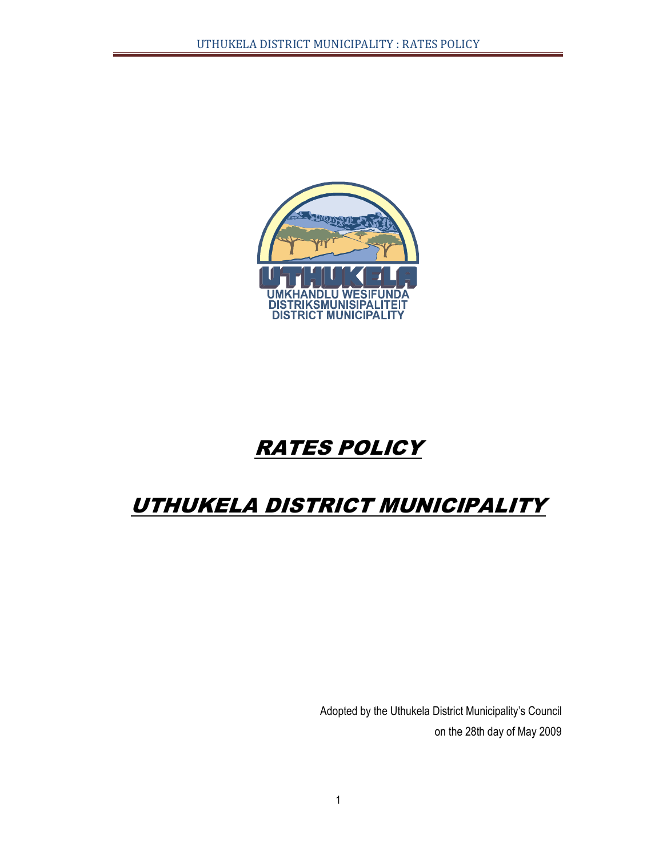

# **RATES POLICY**

# UTHUKELA DISTRICT MUNICIPALITY

Adopted by the Uthukela District Municipality's Council on the 28th day of May 2009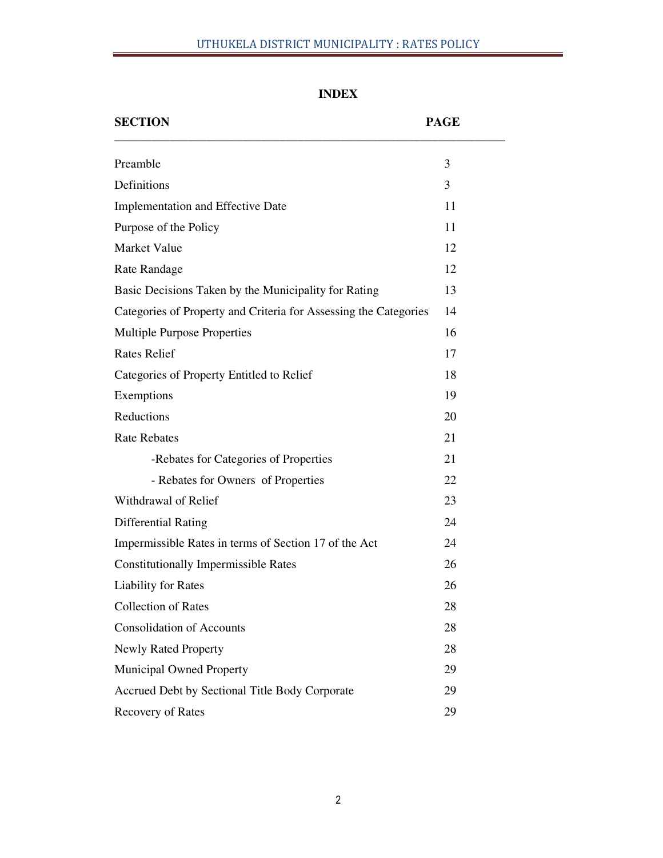# UTHUKELA DISTRICT MUNICIPALITY : RATES POLICY

| <b>SECTION</b>                                                   | <b>PAGE</b> |
|------------------------------------------------------------------|-------------|
| Preamble                                                         | 3           |
| Definitions                                                      | 3           |
| Implementation and Effective Date                                | 11          |
| Purpose of the Policy                                            | 11          |
| <b>Market Value</b>                                              | 12          |
| Rate Randage                                                     | 12          |
| Basic Decisions Taken by the Municipality for Rating             | 13          |
| Categories of Property and Criteria for Assessing the Categories | 14          |
| <b>Multiple Purpose Properties</b>                               | 16          |
| <b>Rates Relief</b>                                              | 17          |
| Categories of Property Entitled to Relief                        | 18          |
| Exemptions                                                       | 19          |
| Reductions                                                       | 20          |
| <b>Rate Rebates</b>                                              | 21          |
| -Rebates for Categories of Properties                            | 21          |
| - Rebates for Owners of Properties                               | 22          |
| Withdrawal of Relief                                             | 23          |
| <b>Differential Rating</b>                                       | 24          |
| Impermissible Rates in terms of Section 17 of the Act            | 24          |
| <b>Constitutionally Impermissible Rates</b>                      | 26          |
| <b>Liability for Rates</b>                                       | 26          |
| <b>Collection of Rates</b>                                       | 28          |
| <b>Consolidation of Accounts</b>                                 | 28          |
| <b>Newly Rated Property</b>                                      | 28          |
| <b>Municipal Owned Property</b>                                  | 29          |
| Accrued Debt by Sectional Title Body Corporate                   | 29          |
| Recovery of Rates                                                | 29          |

# **INDEX**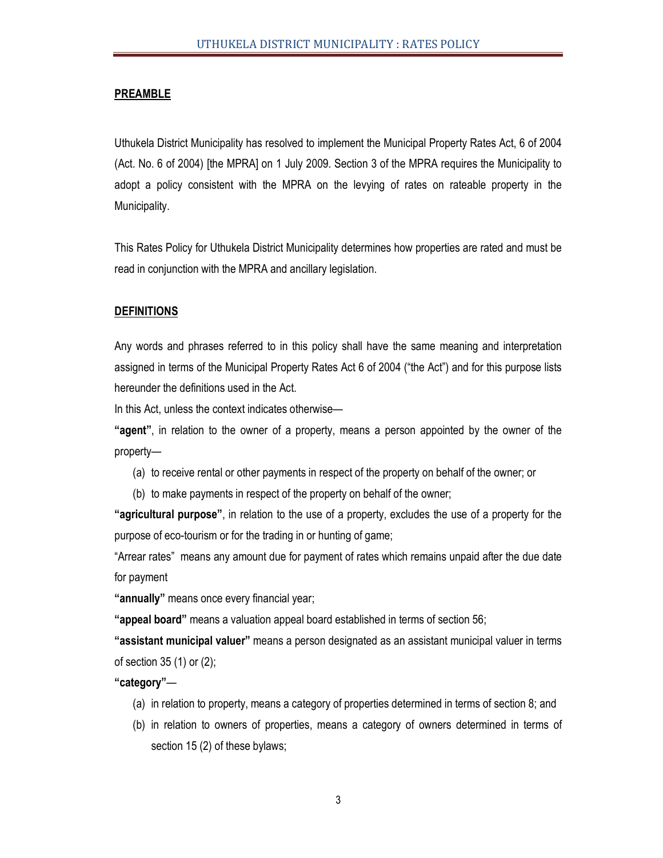# **PREAMBLE**

Uthukela District Municipality has resolved to implement the Municipal Property Rates Act, 6 of 2004 (Act. No. 6 of 2004) [the MPRA] on 1 July 2009. Section 3 of the MPRA requires the Municipality to adopt a policy consistent with the MPRA on the levying of rates on rateable property in the Municipality.

This Rates Policy for Uthukela District Municipality determines how properties are rated and must be read in conjunction with the MPRA and ancillary legislation.

#### **DEFINITIONS**

Any words and phrases referred to in this policy shall have the same meaning and interpretation assigned in terms of the Municipal Property Rates Act 6 of 2004 ("the Act") and for this purpose lists hereunder the definitions used in the Act.

In this Act, unless the context indicates otherwise—

**"agent"**, in relation to the owner of a property, means a person appointed by the owner of the property—

- (a) to receive rental or other payments in respect of the property on behalf of the owner; or
- (b) to make payments in respect of the property on behalf of the owner;

**"agricultural purpose"**, in relation to the use of a property, excludes the use of a property for the purpose of eco-tourism or for the trading in or hunting of game;

"Arrear rates" means any amount due for payment of rates which remains unpaid after the due date for payment

**"annually"** means once every financial year;

**"appeal board"** means a valuation appeal board established in terms of section 56;

**"assistant municipal valuer"** means a person designated as an assistant municipal valuer in terms of section 35 (1) or (2);

**"category"**—

- (a) in relation to property, means a category of properties determined in terms of section 8; and
- (b) in relation to owners of properties, means a category of owners determined in terms of section 15 (2) of these bylaws;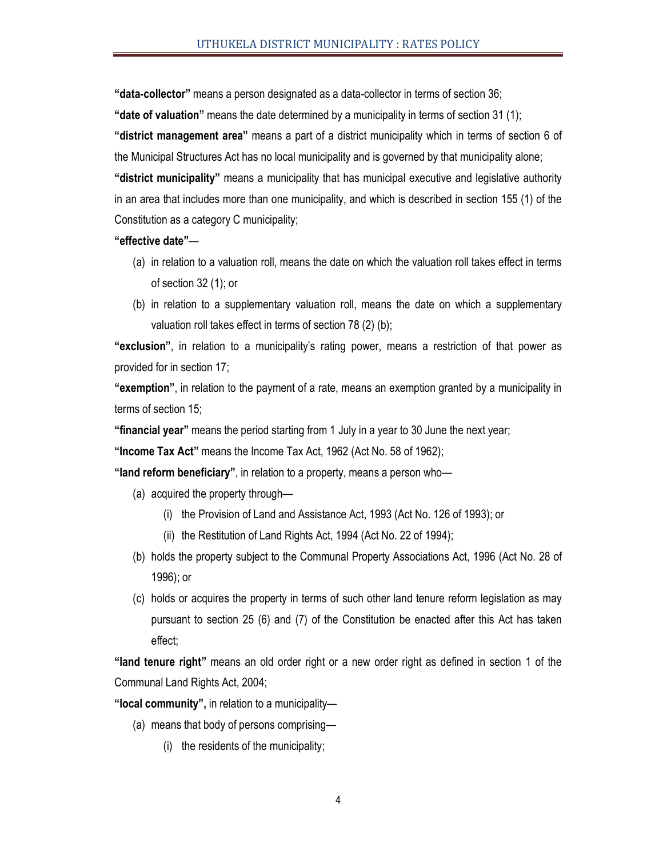**"data-collector"** means a person designated as a data-collector in terms of section 36;

**"date of valuation"** means the date determined by a municipality in terms of section 31 (1);

**"district management area"** means a part of a district municipality which in terms of section 6 of the Municipal Structures Act has no local municipality and is governed by that municipality alone;

**"district municipality"** means a municipality that has municipal executive and legislative authority in an area that includes more than one municipality, and which is described in section 155 (1) of the Constitution as a category C municipality;

#### **"effective date"**—

- (a) in relation to a valuation roll, means the date on which the valuation roll takes effect in terms of section 32 (1); or
- (b) in relation to a supplementary valuation roll, means the date on which a supplementary valuation roll takes effect in terms of section 78 (2) (b);

**"exclusion"**, in relation to a municipality's rating power, means a restriction of that power as provided for in section 17;

**"exemption"**, in relation to the payment of a rate, means an exemption granted by a municipality in terms of section 15;

**"financial year"** means the period starting from 1 July in a year to 30 June the next year;

**"Income Tax Act"** means the Income Tax Act, 1962 (Act No. 58 of 1962);

**"land reform beneficiary"**, in relation to a property, means a person who—

- (a) acquired the property through—
	- (i) the Provision of Land and Assistance Act, 1993 (Act No. 126 of 1993); or
	- (ii) the Restitution of Land Rights Act, 1994 (Act No. 22 of 1994);
- (b) holds the property subject to the Communal Property Associations Act, 1996 (Act No. 28 of 1996); or
- (c) holds or acquires the property in terms of such other land tenure reform legislation as may pursuant to section 25 (6) and (7) of the Constitution be enacted after this Act has taken effect;

**"land tenure right"** means an old order right or a new order right as defined in section 1 of the Communal Land Rights Act, 2004;

**"local community",** in relation to a municipality—

- (a) means that body of persons comprising—
	- (i) the residents of the municipality;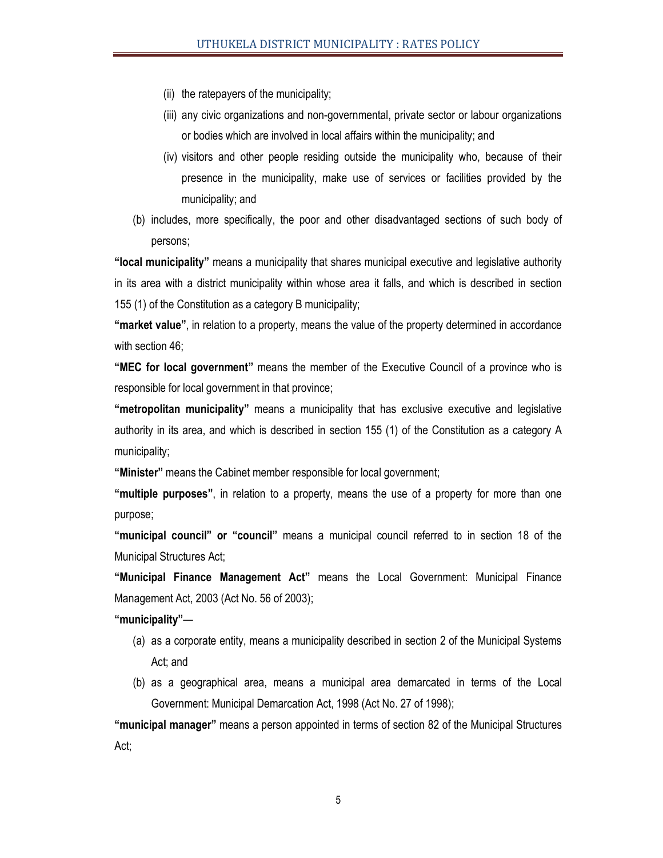- (ii) the ratepayers of the municipality;
- (iii) any civic organizations and non-governmental, private sector or labour organizations or bodies which are involved in local affairs within the municipality; and
- (iv) visitors and other people residing outside the municipality who, because of their presence in the municipality, make use of services or facilities provided by the municipality; and
- (b) includes, more specifically, the poor and other disadvantaged sections of such body of persons;

**"local municipality"** means a municipality that shares municipal executive and legislative authority in its area with a district municipality within whose area it falls, and which is described in section 155 (1) of the Constitution as a category B municipality;

**"market value"**, in relation to a property, means the value of the property determined in accordance with section 46;

**"MEC for local government"** means the member of the Executive Council of a province who is responsible for local government in that province;

**"metropolitan municipality"** means a municipality that has exclusive executive and legislative authority in its area, and which is described in section 155 (1) of the Constitution as a category A municipality;

**"Minister"** means the Cabinet member responsible for local government;

**"multiple purposes"**, in relation to a property, means the use of a property for more than one purpose;

**"municipal council" or "council"** means a municipal council referred to in section 18 of the Municipal Structures Act;

**"Municipal Finance Management Act"** means the Local Government: Municipal Finance Management Act, 2003 (Act No. 56 of 2003);

**"municipality"**—

- (a) as a corporate entity, means a municipality described in section 2 of the Municipal Systems Act; and
- (b) as a geographical area, means a municipal area demarcated in terms of the Local Government: Municipal Demarcation Act, 1998 (Act No. 27 of 1998);

**"municipal manager"** means a person appointed in terms of section 82 of the Municipal Structures Act;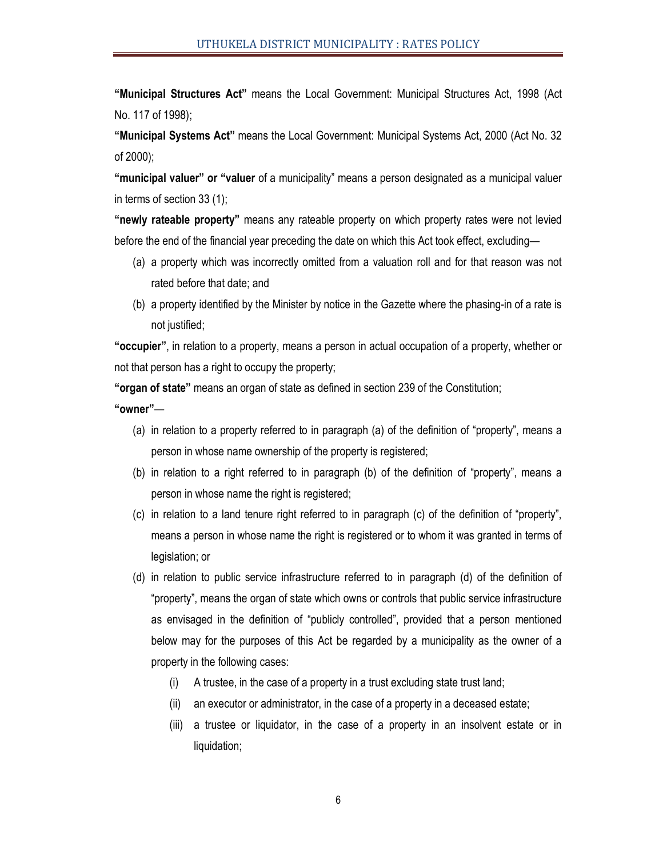**"Municipal Structures Act"** means the Local Government: Municipal Structures Act, 1998 (Act No. 117 of 1998);

**"Municipal Systems Act"** means the Local Government: Municipal Systems Act, 2000 (Act No. 32 of 2000);

**"municipal valuer" or "valuer** of a municipality" means a person designated as a municipal valuer in terms of section 33 (1);

**"newly rateable property"** means any rateable property on which property rates were not levied before the end of the financial year preceding the date on which this Act took effect, excluding—

- (a) a property which was incorrectly omitted from a valuation roll and for that reason was not rated before that date; and
- (b) a property identified by the Minister by notice in the Gazette where the phasing-in of a rate is not justified;

**"occupier"**, in relation to a property, means a person in actual occupation of a property, whether or not that person has a right to occupy the property;

**"organ of state"** means an organ of state as defined in section 239 of the Constitution;

**"owner"**—

- (a) in relation to a property referred to in paragraph (a) of the definition of "property", means a person in whose name ownership of the property is registered;
- (b) in relation to a right referred to in paragraph (b) of the definition of "property", means a person in whose name the right is registered;
- (c) in relation to a land tenure right referred to in paragraph (c) of the definition of "property", means a person in whose name the right is registered or to whom it was granted in terms of legislation; or
- (d) in relation to public service infrastructure referred to in paragraph (d) of the definition of "property", means the organ of state which owns or controls that public service infrastructure as envisaged in the definition of "publicly controlled", provided that a person mentioned below may for the purposes of this Act be regarded by a municipality as the owner of a property in the following cases:
	- (i) A trustee, in the case of a property in a trust excluding state trust land;
	- (ii) an executor or administrator, in the case of a property in a deceased estate;
	- (iii) a trustee or liquidator, in the case of a property in an insolvent estate or in liquidation;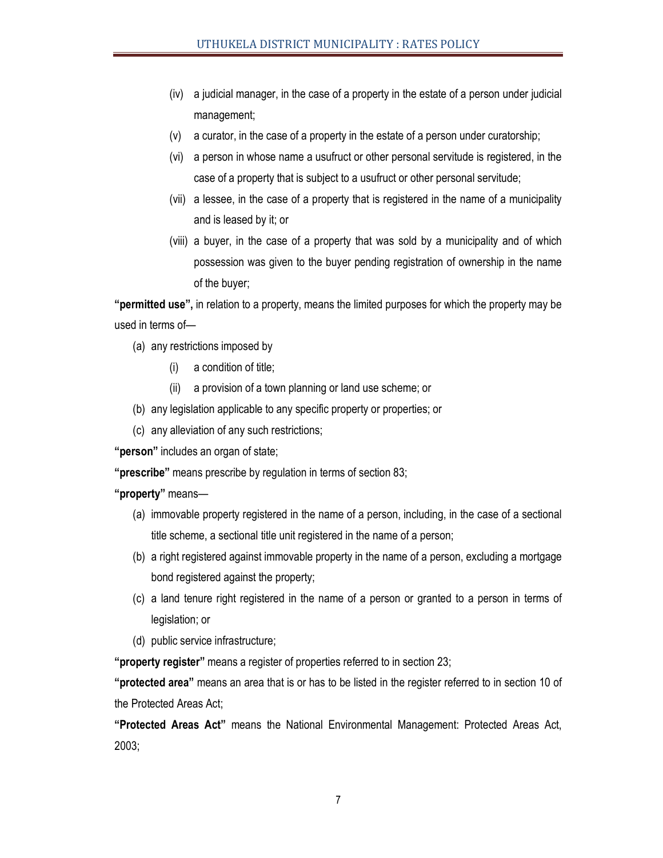- (iv) a judicial manager, in the case of a property in the estate of a person under judicial management;
- (v) a curator, in the case of a property in the estate of a person under curatorship;
- (vi) a person in whose name a usufruct or other personal servitude is registered, in the case of a property that is subject to a usufruct or other personal servitude;
- (vii) a lessee, in the case of a property that is registered in the name of a municipality and is leased by it; or
- (viii) a buyer, in the case of a property that was sold by a municipality and of which possession was given to the buyer pending registration of ownership in the name of the buyer;

**"permitted use",** in relation to a property, means the limited purposes for which the property may be used in terms of—

- (a) any restrictions imposed by
	- (i) a condition of title;
	- (ii) a provision of a town planning or land use scheme; or
- (b) any legislation applicable to any specific property or properties; or
- (c) any alleviation of any such restrictions;

**"person"** includes an organ of state;

**"prescribe"** means prescribe by regulation in terms of section 83;

**"property"** means—

- (a) immovable property registered in the name of a person, including, in the case of a sectional title scheme, a sectional title unit registered in the name of a person;
- (b) a right registered against immovable property in the name of a person, excluding a mortgage bond registered against the property;
- (c) a land tenure right registered in the name of a person or granted to a person in terms of legislation; or
- (d) public service infrastructure;

**"property register"** means a register of properties referred to in section 23;

**"protected area"** means an area that is or has to be listed in the register referred to in section 10 of the Protected Areas Act;

**"Protected Areas Act"** means the National Environmental Management: Protected Areas Act, 2003;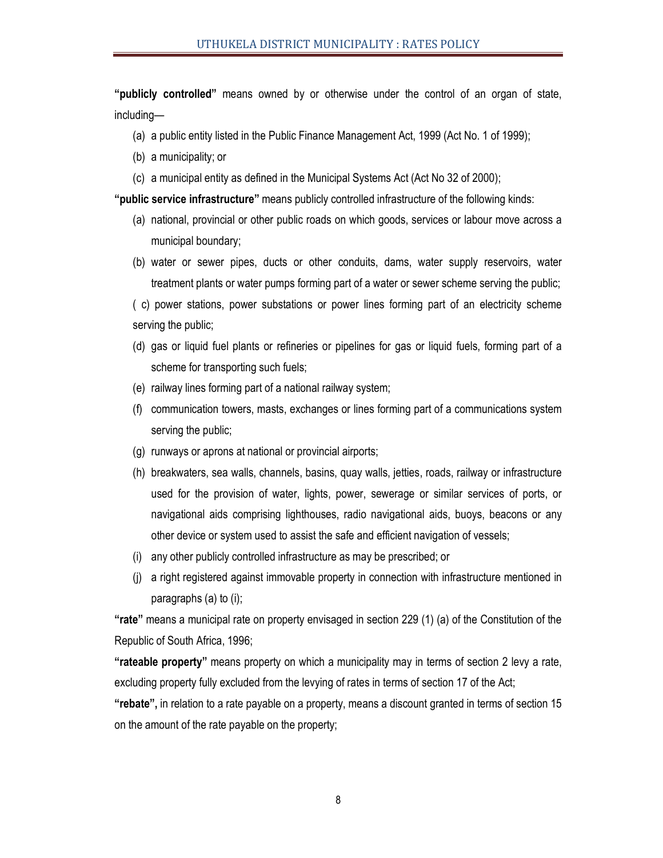**"publicly controlled"** means owned by or otherwise under the control of an organ of state, including—

- (a) a public entity listed in the Public Finance Management Act, 1999 (Act No. 1 of 1999);
- (b) a municipality; or
- (c) a municipal entity as defined in the Municipal Systems Act (Act No 32 of 2000);

**"public service infrastructure"** means publicly controlled infrastructure of the following kinds:

- (a) national, provincial or other public roads on which goods, services or labour move across a municipal boundary;
- (b) water or sewer pipes, ducts or other conduits, dams, water supply reservoirs, water treatment plants or water pumps forming part of a water or sewer scheme serving the public;

( c) power stations, power substations or power lines forming part of an electricity scheme serving the public;

- (d) gas or liquid fuel plants or refineries or pipelines for gas or liquid fuels, forming part of a scheme for transporting such fuels;
- (e) railway lines forming part of a national railway system;
- (f) communication towers, masts, exchanges or lines forming part of a communications system serving the public;
- (g) runways or aprons at national or provincial airports;
- (h) breakwaters, sea walls, channels, basins, quay walls, jetties, roads, railway or infrastructure used for the provision of water, lights, power, sewerage or similar services of ports, or navigational aids comprising lighthouses, radio navigational aids, buoys, beacons or any other device or system used to assist the safe and efficient navigation of vessels;
- (i) any other publicly controlled infrastructure as may be prescribed; or
- (j) a right registered against immovable property in connection with infrastructure mentioned in paragraphs (a) to (i);

**"rate"** means a municipal rate on property envisaged in section 229 (1) (a) of the Constitution of the Republic of South Africa, 1996;

**"rateable property"** means property on which a municipality may in terms of section 2 levy a rate, excluding property fully excluded from the levying of rates in terms of section 17 of the Act;

**"rebate",** in relation to a rate payable on a property, means a discount granted in terms of section 15 on the amount of the rate payable on the property;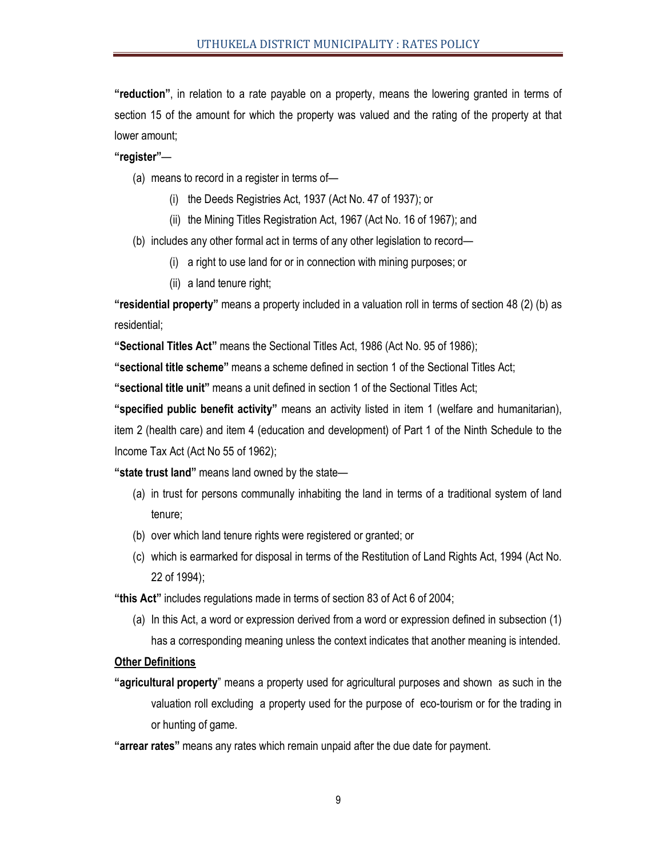**"reduction"**, in relation to a rate payable on a property, means the lowering granted in terms of section 15 of the amount for which the property was valued and the rating of the property at that lower amount;

**"register"**—

- (a) means to record in a register in terms of—
	- (i) the Deeds Registries Act, 1937 (Act No. 47 of 1937); or
	- (ii) the Mining Titles Registration Act, 1967 (Act No. 16 of 1967); and
- (b) includes any other formal act in terms of any other legislation to record—
	- (i) a right to use land for or in connection with mining purposes; or
	- (ii) a land tenure right;

**"residential property"** means a property included in a valuation roll in terms of section 48 (2) (b) as residential;

**"Sectional Titles Act"** means the Sectional Titles Act, 1986 (Act No. 95 of 1986);

**"sectional title scheme"** means a scheme defined in section 1 of the Sectional Titles Act;

**"sectional title unit"** means a unit defined in section 1 of the Sectional Titles Act;

**"specified public benefit activity"** means an activity listed in item 1 (welfare and humanitarian),

item 2 (health care) and item 4 (education and development) of Part 1 of the Ninth Schedule to the Income Tax Act (Act No 55 of 1962);

**"state trust land"** means land owned by the state—

- (a) in trust for persons communally inhabiting the land in terms of a traditional system of land tenure;
- (b) over which land tenure rights were registered or granted; or
- (c) which is earmarked for disposal in terms of the Restitution of Land Rights Act, 1994 (Act No. 22 of 1994);

**"this Act"** includes regulations made in terms of section 83 of Act 6 of 2004;

(a) In this Act, a word or expression derived from a word or expression defined in subsection (1) has a corresponding meaning unless the context indicates that another meaning is intended.

#### **Other Definitions**

- **"agricultural property**" means a property used for agricultural purposes and shown as such in the valuation roll excluding a property used for the purpose of eco-tourism or for the trading in or hunting of game.
- **"arrear rates"** means any rates which remain unpaid after the due date for payment.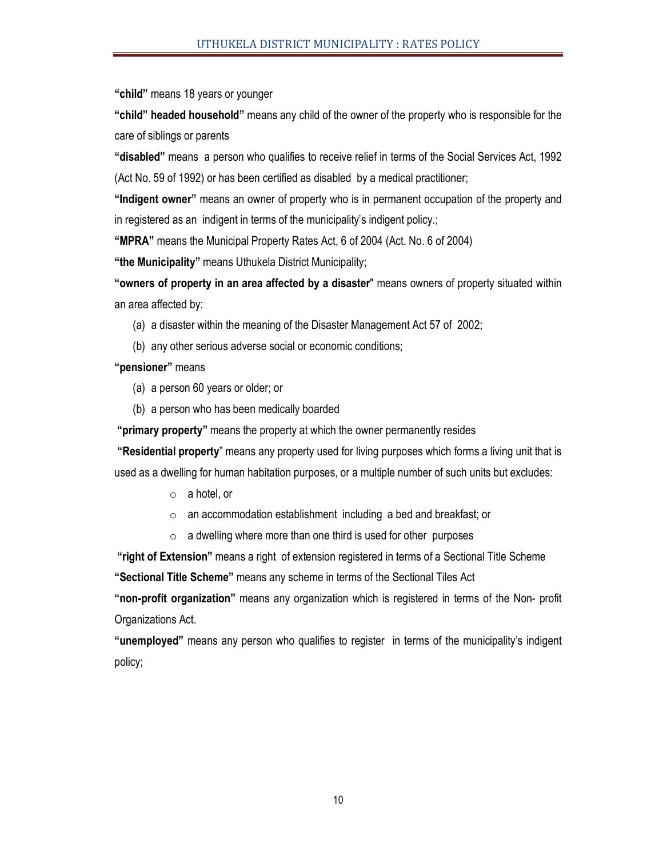**"child"** means 18 years or younger

**"child" headed household"** means any child of the owner of the property who is responsible for the care of siblings or parents

**"disabled"** means a person who qualifies to receive relief in terms of the Social Services Act, 1992 (Act No. 59 of 1992) or has been certified as disabled by a medical practitioner;

**"Indigent owner"** means an owner of property who is in permanent occupation of the property and in registered as an indigent in terms of the municipality's indigent policy.;

**"MPRA"** means the Municipal Property Rates Act, 6 of 2004 (Act. No. 6 of 2004)

**"the Municipality"** means Uthukela District Municipality;

**"owners of property in an area affected by a disaster**" means owners of property situated within an area affected by:

- (a) a disaster within the meaning of the Disaster Management Act 57 of 2002;
- (b) any other serious adverse social or economic conditions;

**"pensioner"** means

- (a) a person 60 years or older; or
- (b) a person who has been medically boarded

**"primary property"** means the property at which the owner permanently resides

 **"Residential property**" means any property used for living purposes which forms a living unit that is used as a dwelling for human habitation purposes, or a multiple number of such units but excludes:

- o a hotel, or
- $\circ$  an accommodation establishment including a bed and breakfast; or
- $\circ$  a dwelling where more than one third is used for other purposes

**"right of Extension"** means a right of extension registered in terms of a Sectional Title Scheme

**"Sectional Title Scheme"** means any scheme in terms of the Sectional Tiles Act

**"non-profit organization"** means any organization which is registered in terms of the Non- profit Organizations Act.

**"unemployed"** means any person who qualifies to register in terms of the municipality's indigent policy;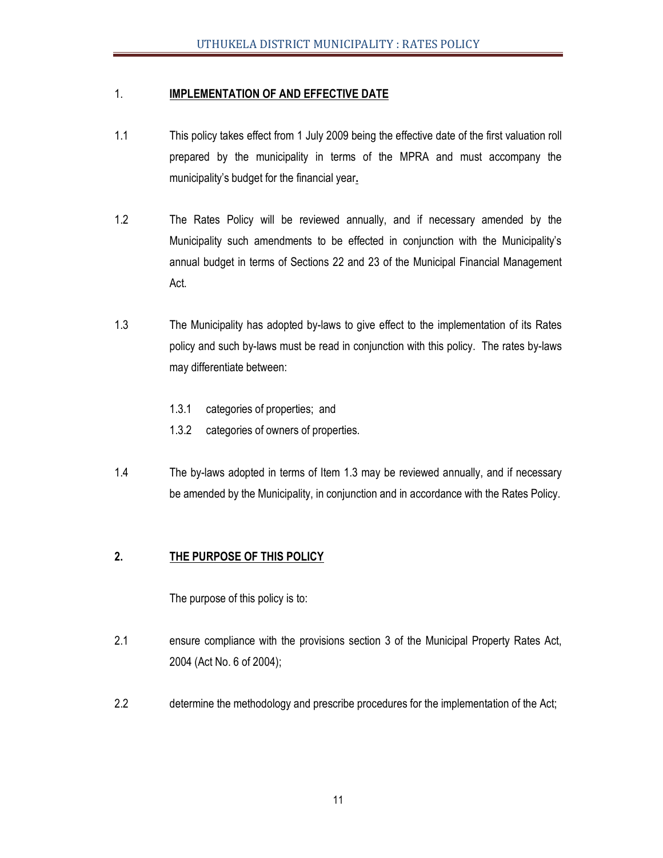# 1. **IMPLEMENTATION OF AND EFFECTIVE DATE**

- 1.1 This policy takes effect from 1 July 2009 being the effective date of the first valuation roll prepared by the municipality in terms of the MPRA and must accompany the municipality's budget for the financial year**.**
- 1.2 The Rates Policy will be reviewed annually, and if necessary amended by the Municipality such amendments to be effected in conjunction with the Municipality's annual budget in terms of Sections 22 and 23 of the Municipal Financial Management Act.
- 1.3 The Municipality has adopted by-laws to give effect to the implementation of its Rates policy and such by-laws must be read in conjunction with this policy. The rates by-laws may differentiate between:
	- 1.3.1 categories of properties; and
	- 1.3.2 categories of owners of properties.
- 1.4 The by-laws adopted in terms of Item 1.3 may be reviewed annually, and if necessary be amended by the Municipality, in conjunction and in accordance with the Rates Policy.

# **2. THE PURPOSE OF THIS POLICY**

The purpose of this policy is to:

- 2.1 ensure compliance with the provisions section 3 of the Municipal Property Rates Act, 2004 (Act No. 6 of 2004);
- 2.2 determine the methodology and prescribe procedures for the implementation of the Act;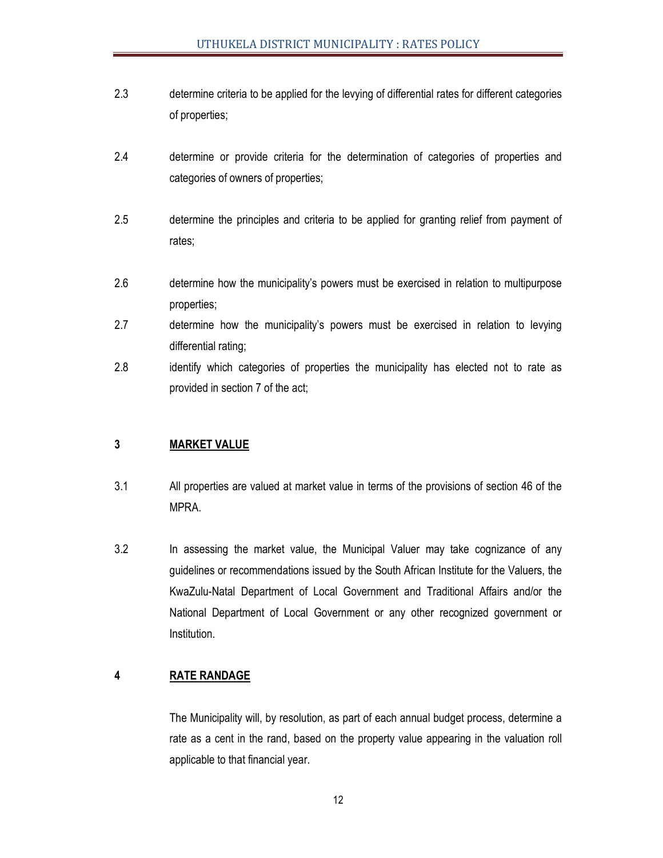- 2.3 determine criteria to be applied for the levying of differential rates for different categories of properties;
- 2.4 determine or provide criteria for the determination of categories of properties and categories of owners of properties;
- 2.5 determine the principles and criteria to be applied for granting relief from payment of rates;
- 2.6 determine how the municipality's powers must be exercised in relation to multipurpose properties;
- 2.7 determine how the municipality's powers must be exercised in relation to levying differential rating;
- 2.8 identify which categories of properties the municipality has elected not to rate as provided in section 7 of the act;

# **3 MARKET VALUE**

- 3.1 All properties are valued at market value in terms of the provisions of section 46 of the MPRA.
- 3.2 In assessing the market value, the Municipal Valuer may take cognizance of any guidelines or recommendations issued by the South African Institute for the Valuers, the KwaZulu-Natal Department of Local Government and Traditional Affairs and/or the National Department of Local Government or any other recognized government or Institution.

# **4 RATE RANDAGE**

 The Municipality will, by resolution, as part of each annual budget process, determine a rate as a cent in the rand, based on the property value appearing in the valuation roll applicable to that financial year.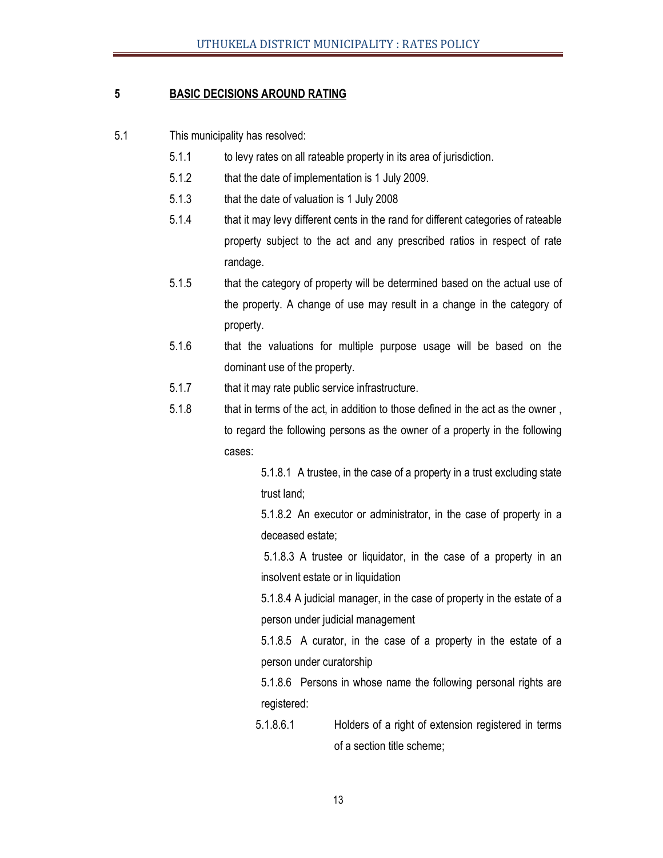# **5 BASIC DECISIONS AROUND RATING**

- 5.1 This municipality has resolved:
	- 5.1.1 to levy rates on all rateable property in its area of jurisdiction.
	- 5.1.2 that the date of implementation is 1 July 2009.
	- 5.1.3 that the date of valuation is 1 July 2008
	- 5.1.4 that it may levy different cents in the rand for different categories of rateable property subject to the act and any prescribed ratios in respect of rate randage.
	- 5.1.5 that the category of property will be determined based on the actual use of the property. A change of use may result in a change in the category of property.
	- 5.1.6 that the valuations for multiple purpose usage will be based on the dominant use of the property.
	- 5.1.7 that it may rate public service infrastructure.
	- 5.1.8 that in terms of the act, in addition to those defined in the act as the owner , to regard the following persons as the owner of a property in the following cases:

 5.1.8.1 A trustee, in the case of a property in a trust excluding state trust land;

 5.1.8.2 An executor or administrator, in the case of property in a deceased estate;

 5.1.8.3 A trustee or liquidator, in the case of a property in an insolvent estate or in liquidation

 5.1.8.4 A judicial manager, in the case of property in the estate of a person under judicial management

 5.1.8.5 A curator, in the case of a property in the estate of a person under curatorship

 5.1.8.6 Persons in whose name the following personal rights are registered:

 5.1.8.6.1 Holders of a right of extension registered in terms of a section title scheme;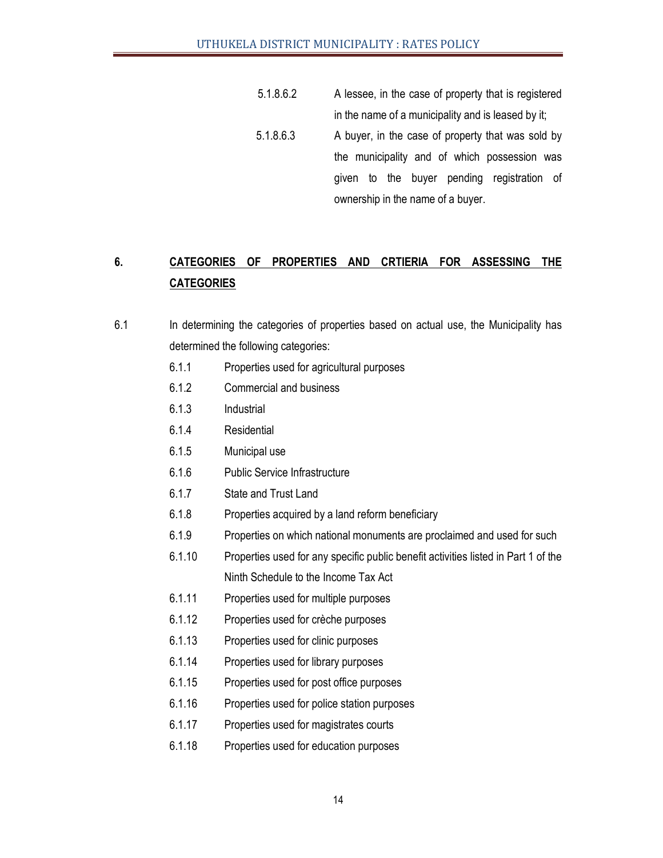5.1.8.6.2 A lessee, in the case of property that is registered in the name of a municipality and is leased by it; 5.1.8.6.3 A buyer, in the case of property that was sold by the municipality and of which possession was given to the buyer pending registration of ownership in the name of a buyer.

# **6. CATEGORIES OF PROPERTIES AND CRTIERIA FOR ASSESSING THE CATEGORIES**

- 6.1 In determining the categories of properties based on actual use, the Municipality has determined the following categories:
	- 6.1.1 Properties used for agricultural purposes
	- 6.1.2 Commercial and business
	- 6.1.3 Industrial
	- 6.1.4 Residential
	- 6.1.5 Municipal use
	- 6.1.6 Public Service Infrastructure
	- 6.1.7 State and Trust Land
	- 6.1.8 Properties acquired by a land reform beneficiary
	- 6.1.9 Properties on which national monuments are proclaimed and used for such
	- 6.1.10 Properties used for any specific public benefit activities listed in Part 1 of the Ninth Schedule to the Income Tax Act
	- 6.1.11 Properties used for multiple purposes
	- 6.1.12 Properties used for crèche purposes
	- 6.1.13 Properties used for clinic purposes
	- 6.1.14 Properties used for library purposes
	- 6.1.15 Properties used for post office purposes
	- 6.1.16 Properties used for police station purposes
	- 6.1.17 Properties used for magistrates courts
	- 6.1.18 Properties used for education purposes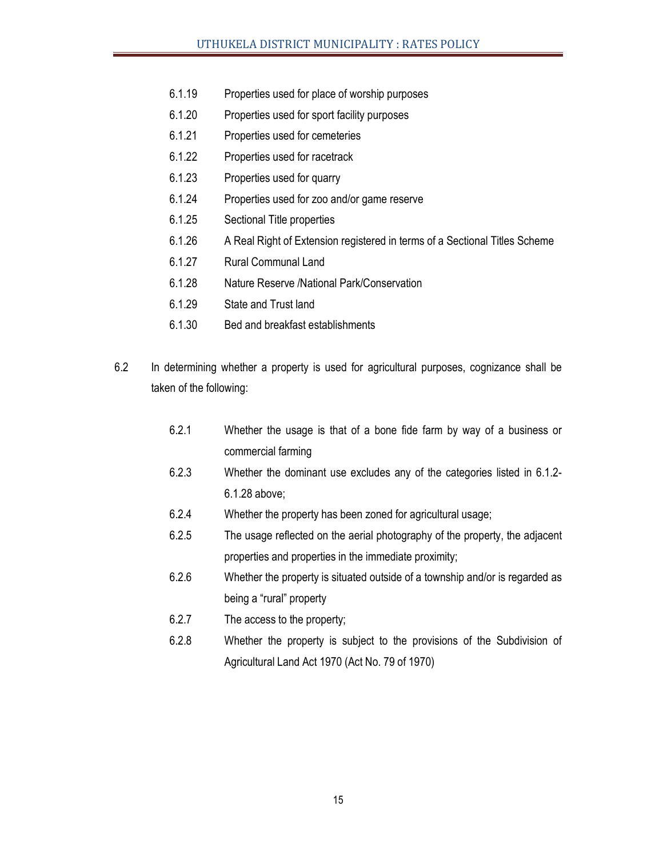- 6.1.19 Properties used for place of worship purposes
- 6.1.20 Properties used for sport facility purposes
- 6.1.21 Properties used for cemeteries
- 6.1.22 Properties used for racetrack
- 6.1.23 Properties used for quarry
- 6.1.24 Properties used for zoo and/or game reserve
- 6.1.25 Sectional Title properties
- 6.1.26 A Real Right of Extension registered in terms of a Sectional Titles Scheme
- 6.1.27 Rural Communal Land
- 6.1.28 Nature Reserve /National Park/Conservation
- 6.1.29 State and Trust land
- 6.1.30 Bed and breakfast establishments
- 6.2 In determining whether a property is used for agricultural purposes, cognizance shall be taken of the following:
	- 6.2.1 Whether the usage is that of a bone fide farm by way of a business or commercial farming
	- 6.2.3 Whether the dominant use excludes any of the categories listed in 6.1.2- 6.1.28 above;
	- 6.2.4 Whether the property has been zoned for agricultural usage;
	- 6.2.5 The usage reflected on the aerial photography of the property, the adjacent properties and properties in the immediate proximity;
	- 6.2.6 Whether the property is situated outside of a township and/or is regarded as being a "rural" property
	- 6.2.7 The access to the property;
	- 6.2.8 Whether the property is subject to the provisions of the Subdivision of Agricultural Land Act 1970 (Act No. 79 of 1970)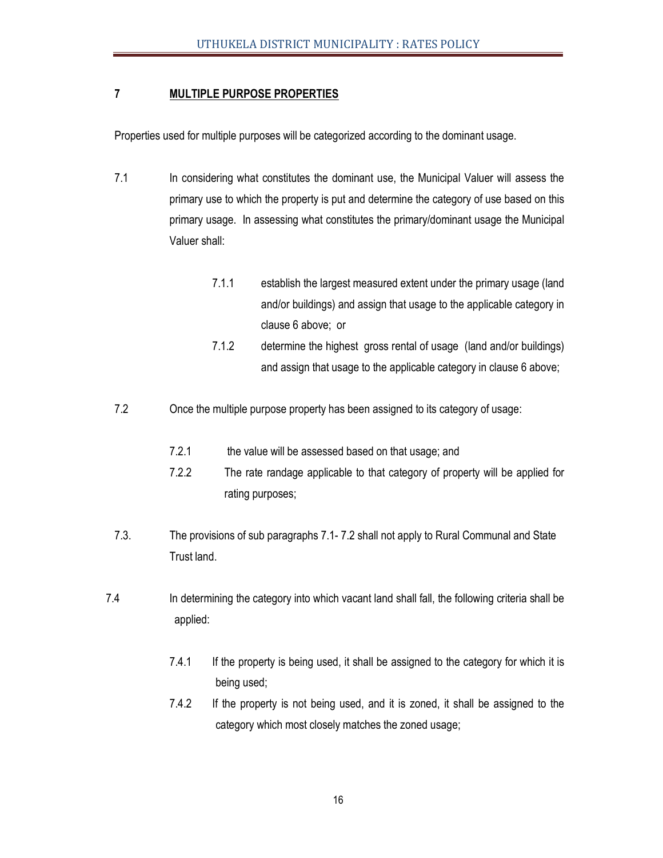# **7 MULTIPLE PURPOSE PROPERTIES**

Properties used for multiple purposes will be categorized according to the dominant usage.

- 7.1 In considering what constitutes the dominant use, the Municipal Valuer will assess the primary use to which the property is put and determine the category of use based on this primary usage. In assessing what constitutes the primary/dominant usage the Municipal Valuer shall:
	- 7.1.1 establish the largest measured extent under the primary usage (land and/or buildings) and assign that usage to the applicable category in clause 6 above; or
	- 7.1.2 determine the highest gross rental of usage (land and/or buildings) and assign that usage to the applicable category in clause 6 above;
- 7.2 Once the multiple purpose property has been assigned to its category of usage:
	- 7.2.1 the value will be assessed based on that usage; and
	- 7.2.2 The rate randage applicable to that category of property will be applied for rating purposes;
- 7.3. The provisions of sub paragraphs 7.1- 7.2 shall not apply to Rural Communal and State Trust land.
- 7.4 In determining the category into which vacant land shall fall, the following criteria shall be applied:
	- 7.4.1 If the property is being used, it shall be assigned to the category for which it is being used;
	- 7.4.2 If the property is not being used, and it is zoned, it shall be assigned to the category which most closely matches the zoned usage;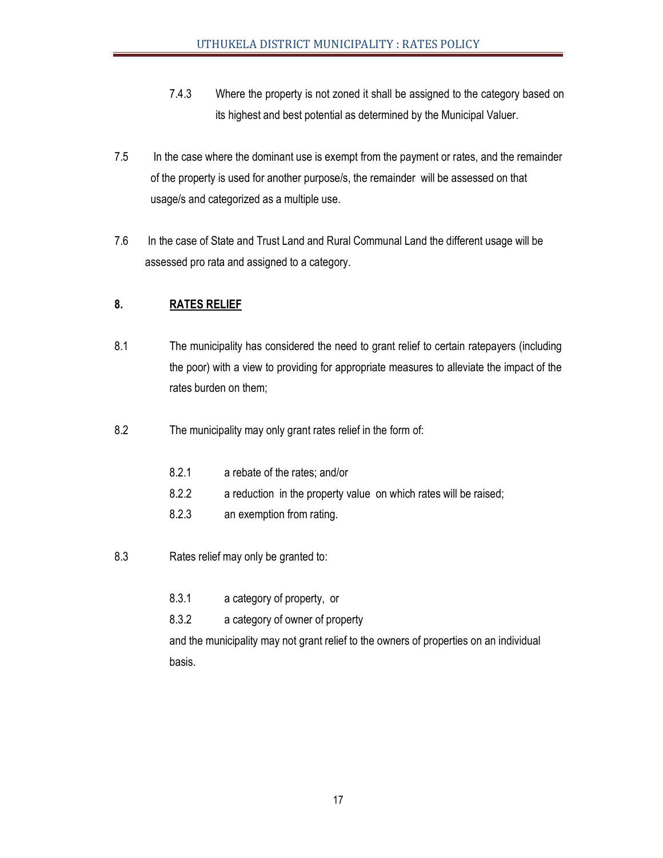- 7.4.3 Where the property is not zoned it shall be assigned to the category based on its highest and best potential as determined by the Municipal Valuer.
- 7.5 In the case where the dominant use is exempt from the payment or rates, and the remainder of the property is used for another purpose/s, the remainder will be assessed on that usage/s and categorized as a multiple use.
- 7.6 In the case of State and Trust Land and Rural Communal Land the different usage will be assessed pro rata and assigned to a category.

# **8. RATES RELIEF**

- 8.1 The municipality has considered the need to grant relief to certain ratepayers (including the poor) with a view to providing for appropriate measures to alleviate the impact of the rates burden on them;
- 8.2 The municipality may only grant rates relief in the form of:
	- 8.2.1 a rebate of the rates; and/or
	- 8.2.2 a reduction in the property value on which rates will be raised;
	- 8.2.3 an exemption from rating.
- 8.3 Rates relief may only be granted to:
	- 8.3.1 a category of property, or
	- 8.3.2 a category of owner of property

 and the municipality may not grant relief to the owners of properties on an individual basis.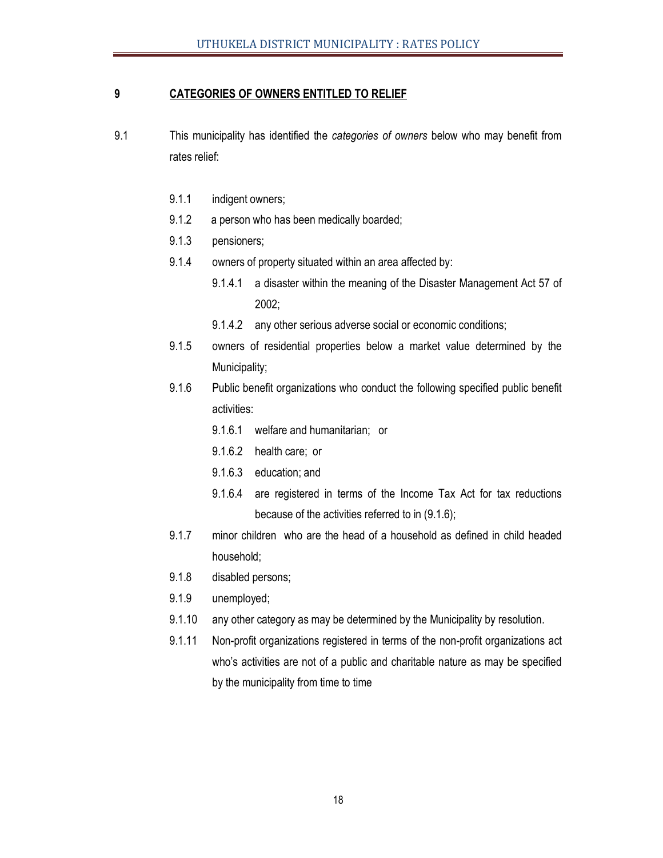# **9 CATEGORIES OF OWNERS ENTITLED TO RELIEF**

- 9.1 This municipality has identified the *categories of owners* below who may benefit from rates relief:
	- 9.1.1 indigent owners;
	- 9.1.2 a person who has been medically boarded;
	- 9.1.3 pensioners;
	- 9.1.4 owners of property situated within an area affected by:
		- 9.1.4.1 a disaster within the meaning of the Disaster Management Act 57 of 2002;
			- 9.1.4.2 any other serious adverse social or economic conditions;
	- 9.1.5 owners of residential properties below a market value determined by the Municipality;
	- 9.1.6 Public benefit organizations who conduct the following specified public benefit activities:
		- 9.1.6.1 welfare and humanitarian; or
		- 9.1.6.2 health care; or
		- 9.1.6.3 education; and
		- 9.1.6.4 are registered in terms of the Income Tax Act for tax reductions because of the activities referred to in (9.1.6);
	- 9.1.7 minor children who are the head of a household as defined in child headed household;
	- 9.1.8 disabled persons;
	- 9.1.9 unemployed;
	- 9.1.10 any other category as may be determined by the Municipality by resolution.
	- 9.1.11 Non-profit organizations registered in terms of the non-profit organizations act who's activities are not of a public and charitable nature as may be specified by the municipality from time to time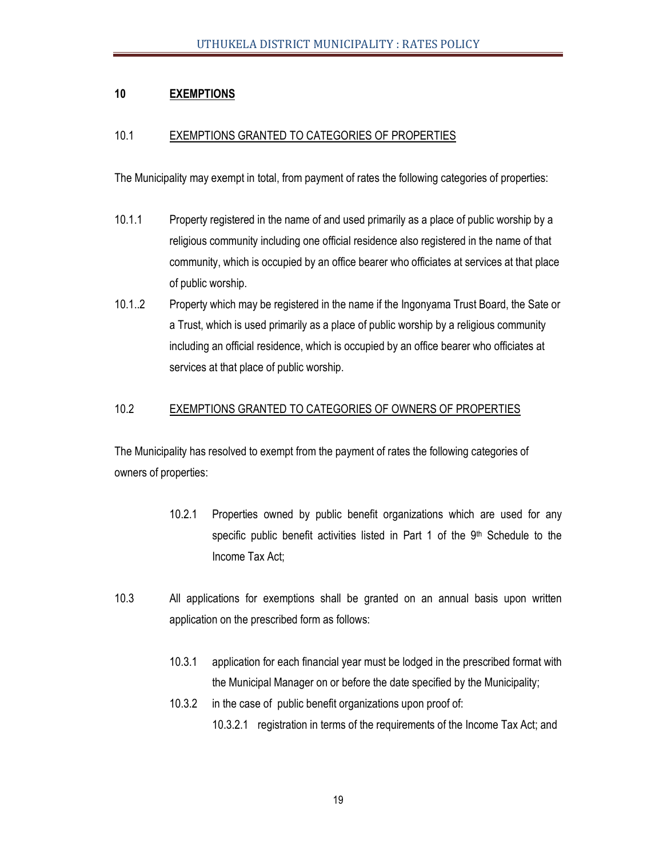# **10 EXEMPTIONS**

### 10.1 EXEMPTIONS GRANTED TO CATEGORIES OF PROPERTIES

The Municipality may exempt in total, from payment of rates the following categories of properties:

- 10.1.1 Property registered in the name of and used primarily as a place of public worship by a religious community including one official residence also registered in the name of that community, which is occupied by an office bearer who officiates at services at that place of public worship.
- 10.1..2 Property which may be registered in the name if the Ingonyama Trust Board, the Sate or a Trust, which is used primarily as a place of public worship by a religious community including an official residence, which is occupied by an office bearer who officiates at services at that place of public worship.

#### 10.2 EXEMPTIONS GRANTED TO CATEGORIES OF OWNERS OF PROPERTIES

The Municipality has resolved to exempt from the payment of rates the following categories of owners of properties:

- 10.2.1 Properties owned by public benefit organizations which are used for any specific public benefit activities listed in Part 1 of the  $9<sup>th</sup>$  Schedule to the Income Tax Act;
- 10.3 All applications for exemptions shall be granted on an annual basis upon written application on the prescribed form as follows:
	- 10.3.1 application for each financial year must be lodged in the prescribed format with the Municipal Manager on or before the date specified by the Municipality;
	- 10.3.2 in the case of public benefit organizations upon proof of:
		- 10.3.2.1 registration in terms of the requirements of the Income Tax Act; and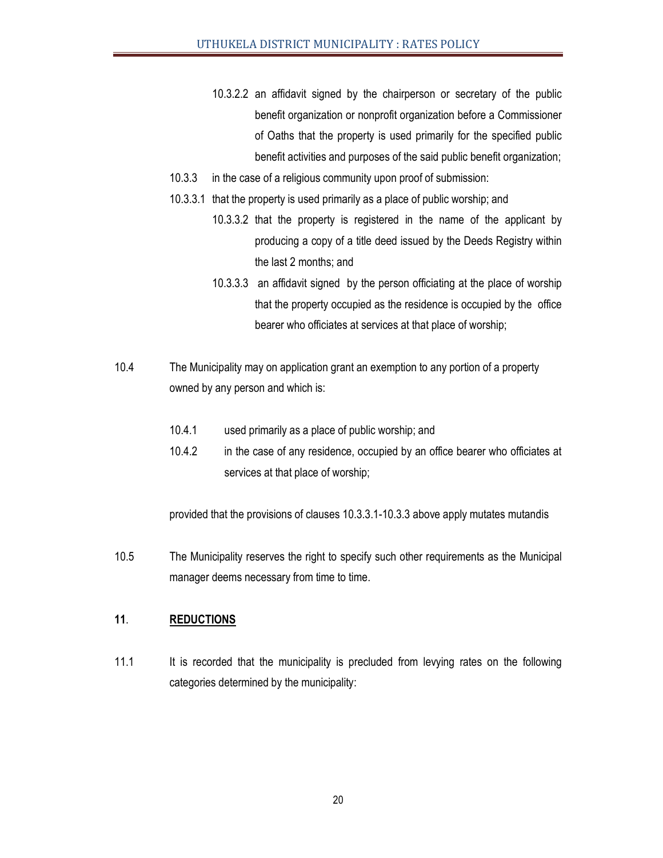- 10.3.2.2 an affidavit signed by the chairperson or secretary of the public benefit organization or nonprofit organization before a Commissioner of Oaths that the property is used primarily for the specified public benefit activities and purposes of the said public benefit organization;
- 10.3.3 in the case of a religious community upon proof of submission:
- 10.3.3.1 that the property is used primarily as a place of public worship; and
	- 10.3.3.2 that the property is registered in the name of the applicant by producing a copy of a title deed issued by the Deeds Registry within the last 2 months; and
	- 10.3.3.3 an affidavit signed by the person officiating at the place of worship that the property occupied as the residence is occupied by the office bearer who officiates at services at that place of worship;
- 10.4 The Municipality may on application grant an exemption to any portion of a property owned by any person and which is:
	- 10.4.1 used primarily as a place of public worship; and
	- 10.4.2 in the case of any residence, occupied by an office bearer who officiates at services at that place of worship;

provided that the provisions of clauses 10.3.3.1-10.3.3 above apply mutates mutandis

10.5 The Municipality reserves the right to specify such other requirements as the Municipal manager deems necessary from time to time.

#### **11**. **REDUCTIONS**

11.1 It is recorded that the municipality is precluded from levying rates on the following categories determined by the municipality: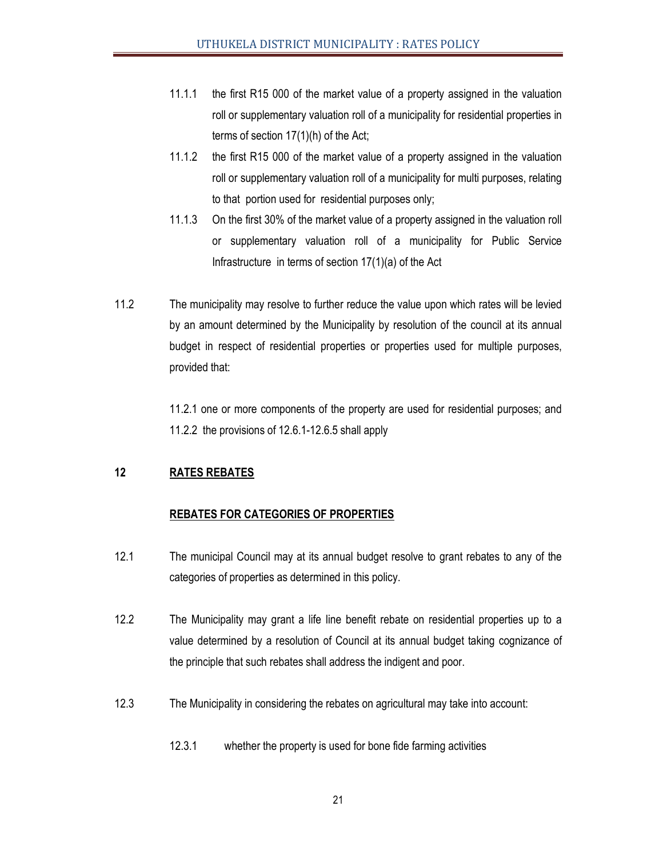- 11.1.1 the first R15 000 of the market value of a property assigned in the valuation roll or supplementary valuation roll of a municipality for residential properties in terms of section 17(1)(h) of the Act;
- 11.1.2 the first R15 000 of the market value of a property assigned in the valuation roll or supplementary valuation roll of a municipality for multi purposes, relating to that portion used for residential purposes only;
- 11.1.3 On the first 30% of the market value of a property assigned in the valuation roll or supplementary valuation roll of a municipality for Public Service Infrastructure in terms of section 17(1)(a) of the Act
- 11.2 The municipality may resolve to further reduce the value upon which rates will be levied by an amount determined by the Municipality by resolution of the council at its annual budget in respect of residential properties or properties used for multiple purposes, provided that:

 11.2.1 one or more components of the property are used for residential purposes; and 11.2.2 the provisions of 12.6.1-12.6.5 shall apply

# **12 RATES REBATES**

# **REBATES FOR CATEGORIES OF PROPERTIES**

- 12.1 The municipal Council may at its annual budget resolve to grant rebates to any of the categories of properties as determined in this policy.
- 12.2 The Municipality may grant a life line benefit rebate on residential properties up to a value determined by a resolution of Council at its annual budget taking cognizance of the principle that such rebates shall address the indigent and poor.
- 12.3 The Municipality in considering the rebates on agricultural may take into account:
	- 12.3.1 whether the property is used for bone fide farming activities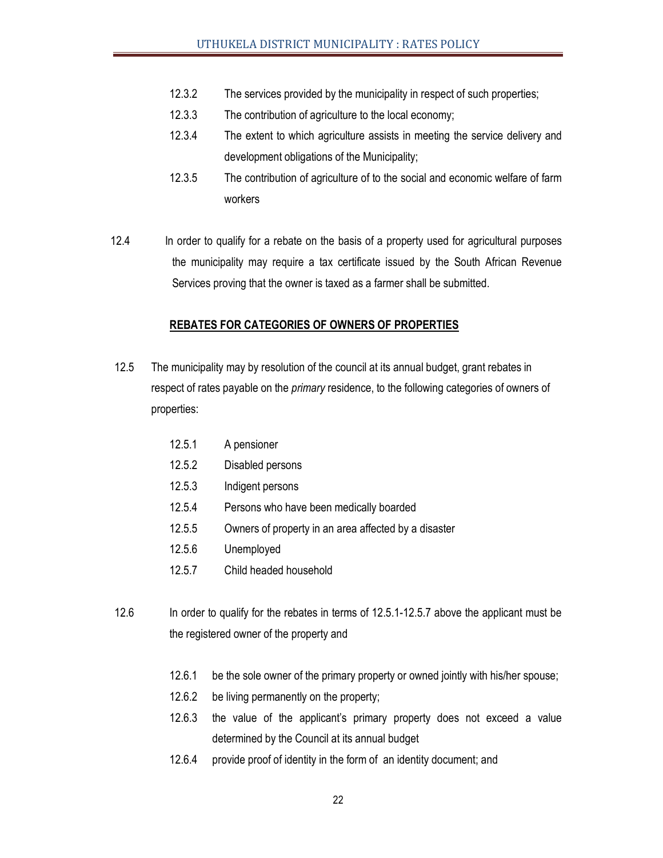- 12.3.2 The services provided by the municipality in respect of such properties;
- 12.3.3 The contribution of agriculture to the local economy;
- 12.3.4 The extent to which agriculture assists in meeting the service delivery and development obligations of the Municipality;
- 12.3.5 The contribution of agriculture of to the social and economic welfare of farm workers
- 12.4 In order to qualify for a rebate on the basis of a property used for agricultural purposes the municipality may require a tax certificate issued by the South African Revenue Services proving that the owner is taxed as a farmer shall be submitted.

#### **REBATES FOR CATEGORIES OF OWNERS OF PROPERTIES**

12.5 The municipality may by resolution of the council at its annual budget, grant rebates in respect of rates payable on the *primary* residence, to the following categories of owners of properties:

| 12.5.1 | A pensioner                                          |
|--------|------------------------------------------------------|
| 12.5.2 | Disabled persons                                     |
| 12.5.3 | Indigent persons                                     |
| 12.5.4 | Persons who have been medically boarded              |
| 12.5.5 | Owners of property in an area affected by a disaster |
| 12.5.6 | Unemployed                                           |
| 12.5.7 | Child headed household                               |
|        |                                                      |

- 12.6 In order to qualify for the rebates in terms of 12.5.1-12.5.7 above the applicant must be the registered owner of the property and
	- 12.6.1 be the sole owner of the primary property or owned jointly with his/her spouse;
	- 12.6.2 be living permanently on the property;
	- 12.6.3 the value of the applicant's primary property does not exceed a value determined by the Council at its annual budget
	- 12.6.4 provide proof of identity in the form of an identity document; and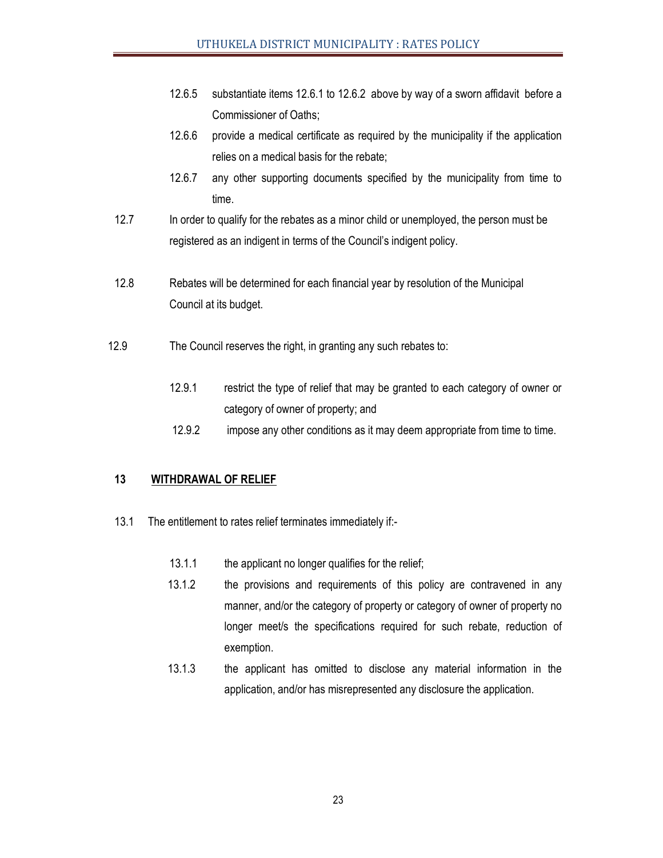- 12.6.5 substantiate items 12.6.1 to 12.6.2 above by way of a sworn affidavit before a Commissioner of Oaths;
- 12.6.6 provide a medical certificate as required by the municipality if the application relies on a medical basis for the rebate;
- 12.6.7 any other supporting documents specified by the municipality from time to time.
- 12.7 In order to qualify for the rebates as a minor child or unemployed, the person must be registered as an indigent in terms of the Council's indigent policy.
- 12.8 Rebates will be determined for each financial year by resolution of the Municipal Council at its budget.
- 12.9 The Council reserves the right, in granting any such rebates to:
	- 12.9.1 restrict the type of relief that may be granted to each category of owner or category of owner of property; and
	- 12.9.2 impose any other conditions as it may deem appropriate from time to time.

#### **13 WITHDRAWAL OF RELIEF**

- 13.1 The entitlement to rates relief terminates immediately if:-
	- 13.1.1 the applicant no longer qualifies for the relief;
	- 13.1.2 the provisions and requirements of this policy are contravened in any manner, and/or the category of property or category of owner of property no longer meet/s the specifications required for such rebate, reduction of exemption.
	- 13.1.3 the applicant has omitted to disclose any material information in the application, and/or has misrepresented any disclosure the application.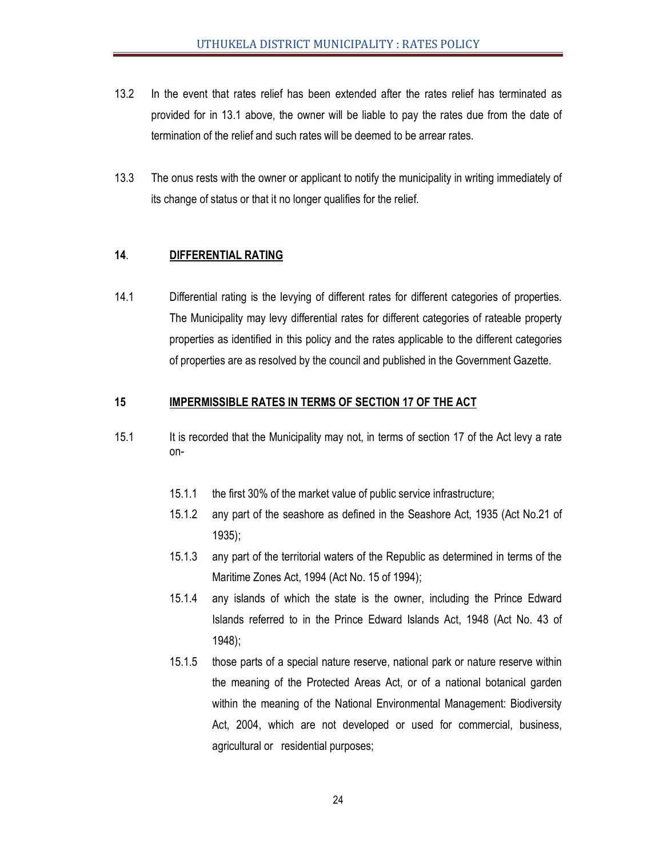- 13.2 In the event that rates relief has been extended after the rates relief has terminated as provided for in 13.1 above, the owner will be liable to pay the rates due from the date of termination of the relief and such rates will be deemed to be arrear rates.
- 13.3 The onus rests with the owner or applicant to notify the municipality in writing immediately of its change of status or that it no longer qualifies for the relief.

# **14**. **DIFFERENTIAL RATING**

14.1 Differential rating is the levying of different rates for different categories of properties. The Municipality may levy differential rates for different categories of rateable property properties as identified in this policy and the rates applicable to the different categories of properties are as resolved by the council and published in the Government Gazette.

#### **15 IMPERMISSIBLE RATES IN TERMS OF SECTION 17 OF THE ACT**

- 15.1 It is recorded that the Municipality may not, in terms of section 17 of the Act levy a rate on-
	- 15.1.1 the first 30% of the market value of public service infrastructure;
	- 15.1.2 any part of the seashore as defined in the Seashore Act, 1935 (Act No.21 of 1935);
	- 15.1.3 any part of the territorial waters of the Republic as determined in terms of the Maritime Zones Act, 1994 (Act No. 15 of 1994);
	- 15.1.4 any islands of which the state is the owner, including the Prince Edward Islands referred to in the Prince Edward Islands Act, 1948 (Act No. 43 of 1948);
	- 15.1.5 those parts of a special nature reserve, national park or nature reserve within the meaning of the Protected Areas Act, or of a national botanical garden within the meaning of the National Environmental Management: Biodiversity Act, 2004, which are not developed or used for commercial, business, agricultural or residential purposes;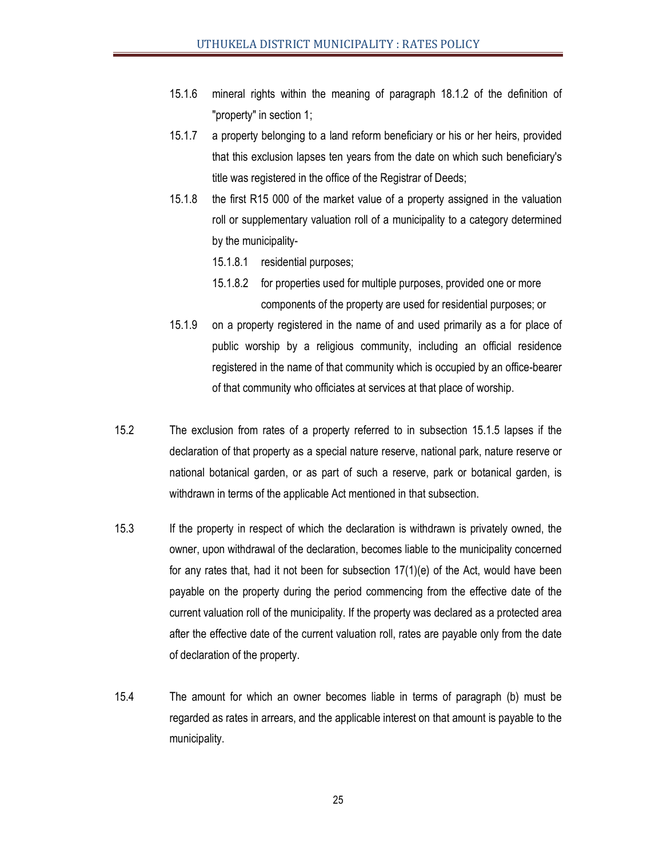- 15.1.6 mineral rights within the meaning of paragraph 18.1.2 of the definition of "property" in section 1;
- 15.1.7 a property belonging to a land reform beneficiary or his or her heirs, provided that this exclusion lapses ten years from the date on which such beneficiary's title was registered in the office of the Registrar of Deeds;
- 15.1.8 the first R15 000 of the market value of a property assigned in the valuation roll or supplementary valuation roll of a municipality to a category determined by the municipality-
	- 15.1.8.1 residential purposes;
	- 15.1.8.2 for properties used for multiple purposes, provided one or more components of the property are used for residential purposes; or
- 15.1.9 on a property registered in the name of and used primarily as a for place of public worship by a religious community, including an official residence registered in the name of that community which is occupied by an office-bearer of that community who officiates at services at that place of worship.
- 15.2 The exclusion from rates of a property referred to in subsection 15.1.5 lapses if the declaration of that property as a special nature reserve, national park, nature reserve or national botanical garden, or as part of such a reserve, park or botanical garden, is withdrawn in terms of the applicable Act mentioned in that subsection.
- 15.3 If the property in respect of which the declaration is withdrawn is privately owned, the owner, upon withdrawal of the declaration, becomes liable to the municipality concerned for any rates that, had it not been for subsection 17(1)(e) of the Act, would have been payable on the property during the period commencing from the effective date of the current valuation roll of the municipality. If the property was declared as a protected area after the effective date of the current valuation roll, rates are payable only from the date of declaration of the property.
- 15.4 The amount for which an owner becomes liable in terms of paragraph (b) must be regarded as rates in arrears, and the applicable interest on that amount is payable to the municipality.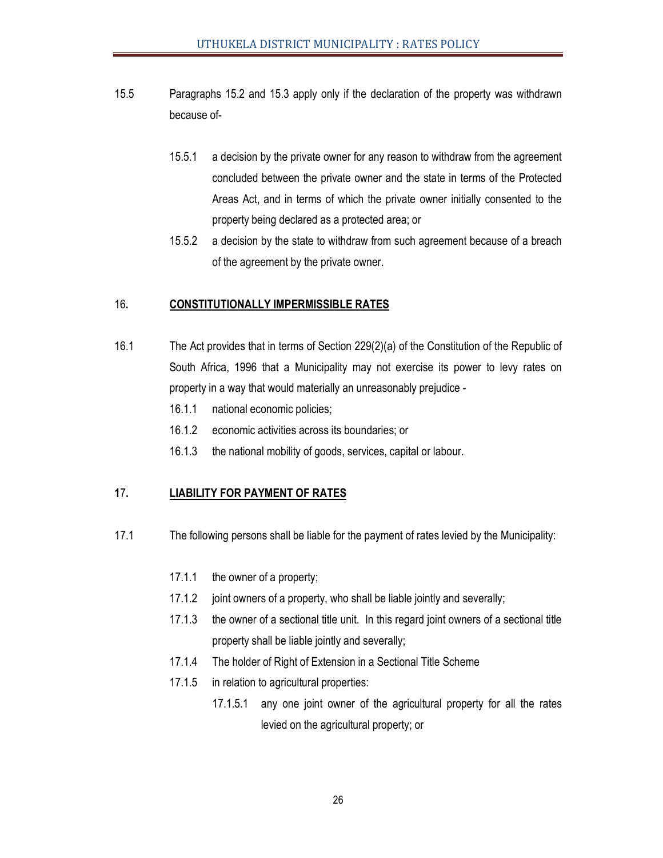- 15.5 Paragraphs 15.2 and 15.3 apply only if the declaration of the property was withdrawn because of-
	- 15.5.1 a decision by the private owner for any reason to withdraw from the agreement concluded between the private owner and the state in terms of the Protected Areas Act, and in terms of which the private owner initially consented to the property being declared as a protected area; or
	- 15.5.2 a decision by the state to withdraw from such agreement because of a breach of the agreement by the private owner.

#### 16**. CONSTITUTIONALLY IMPERMISSIBLE RATES**

- 16.1 The Act provides that in terms of Section 229(2)(a) of the Constitution of the Republic of South Africa, 1996 that a Municipality may not exercise its power to levy rates on property in a way that would materially an unreasonably prejudice -
	- 16.1.1 national economic policies;
	- 16.1.2 economic activities across its boundaries; or
	- 16.1.3 the national mobility of goods, services, capital or labour.

# **1**7**. LIABILITY FOR PAYMENT OF RATES**

- 17.1 The following persons shall be liable for the payment of rates levied by the Municipality:
	- 17.1.1 the owner of a property;
	- 17.1.2 joint owners of a property, who shall be liable jointly and severally;
	- 17.1.3 the owner of a sectional title unit. In this regard joint owners of a sectional title property shall be liable jointly and severally;
	- 17.1.4 The holder of Right of Extension in a Sectional Title Scheme
	- 17.1.5 in relation to agricultural properties:
		- 17.1.5.1 any one joint owner of the agricultural property for all the rates levied on the agricultural property; or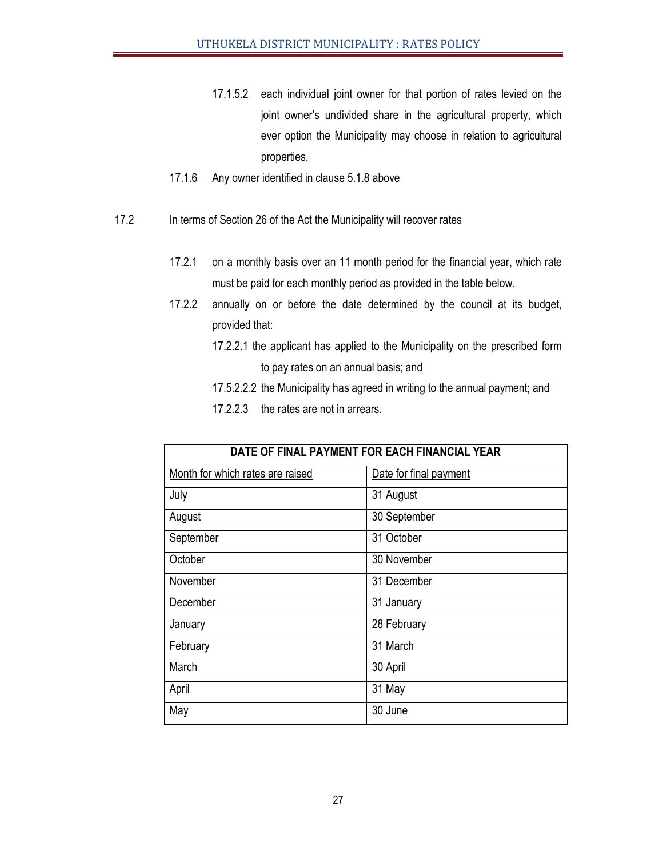- 17.1.5.2 each individual joint owner for that portion of rates levied on the joint owner's undivided share in the agricultural property, which ever option the Municipality may choose in relation to agricultural properties.
- 17.1.6 Any owner identified in clause 5.1.8 above
- 17.2 In terms of Section 26 of the Act the Municipality will recover rates
	- 17.2.1 on a monthly basis over an 11 month period for the financial year, which rate must be paid for each monthly period as provided in the table below.
	- 17.2.2 annually on or before the date determined by the council at its budget, provided that:
		- 17.2.2.1 the applicant has applied to the Municipality on the prescribed form to pay rates on an annual basis; and
		- 17.5.2.2.2 the Municipality has agreed in writing to the annual payment; and
		- 17.2.2.3 the rates are not in arrears.

| DATE OF FINAL PAYMENT FOR EACH FINANCIAL YEAR |                        |  |  |
|-----------------------------------------------|------------------------|--|--|
| Month for which rates are raised              | Date for final payment |  |  |
| July                                          | 31 August              |  |  |
| August                                        | 30 September           |  |  |
| September                                     | 31 October             |  |  |
| October                                       | 30 November            |  |  |
| November                                      | 31 December            |  |  |
| December                                      | 31 January             |  |  |
| January                                       | 28 February            |  |  |
| February                                      | 31 March               |  |  |
| March                                         | 30 April               |  |  |
| April                                         | 31 May                 |  |  |
| May                                           | 30 June                |  |  |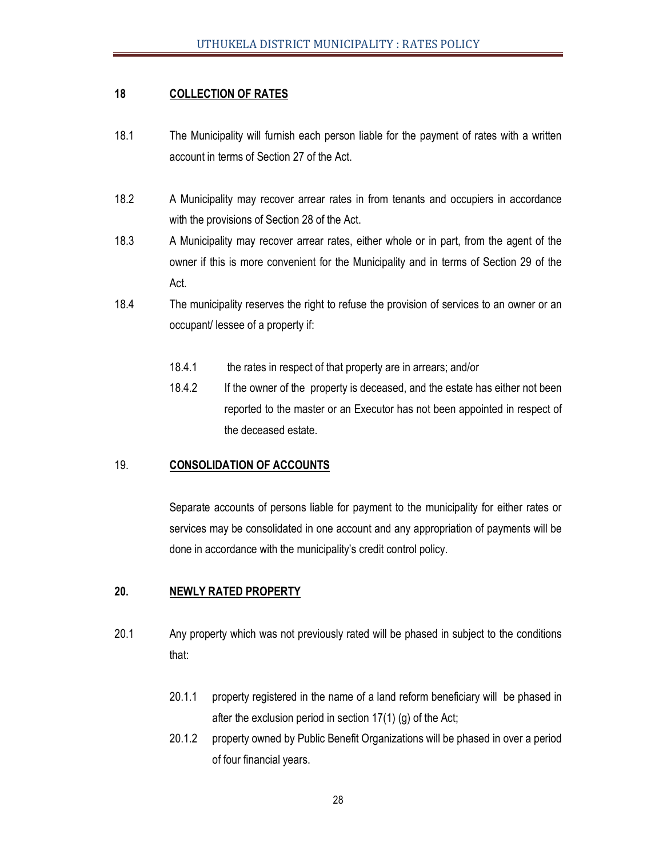#### **18 COLLECTION OF RATES**

- 18.1 The Municipality will furnish each person liable for the payment of rates with a written account in terms of Section 27 of the Act.
- 18.2 A Municipality may recover arrear rates in from tenants and occupiers in accordance with the provisions of Section 28 of the Act.
- 18.3 A Municipality may recover arrear rates, either whole or in part, from the agent of the owner if this is more convenient for the Municipality and in terms of Section 29 of the Act.
- 18.4 The municipality reserves the right to refuse the provision of services to an owner or an occupant/ lessee of a property if:
	- 18.4.1 the rates in respect of that property are in arrears; and/or
	- 18.4.2 If the owner of the property is deceased, and the estate has either not been reported to the master or an Executor has not been appointed in respect of the deceased estate.

#### 19. **CONSOLIDATION OF ACCOUNTS**

 Separate accounts of persons liable for payment to the municipality for either rates or services may be consolidated in one account and any appropriation of payments will be done in accordance with the municipality's credit control policy.

#### **20. NEWLY RATED PROPERTY**

- 20.1 Any property which was not previously rated will be phased in subject to the conditions that:
	- 20.1.1 property registered in the name of a land reform beneficiary will be phased in after the exclusion period in section 17(1) (g) of the Act;
	- 20.1.2 property owned by Public Benefit Organizations will be phased in over a period of four financial years.